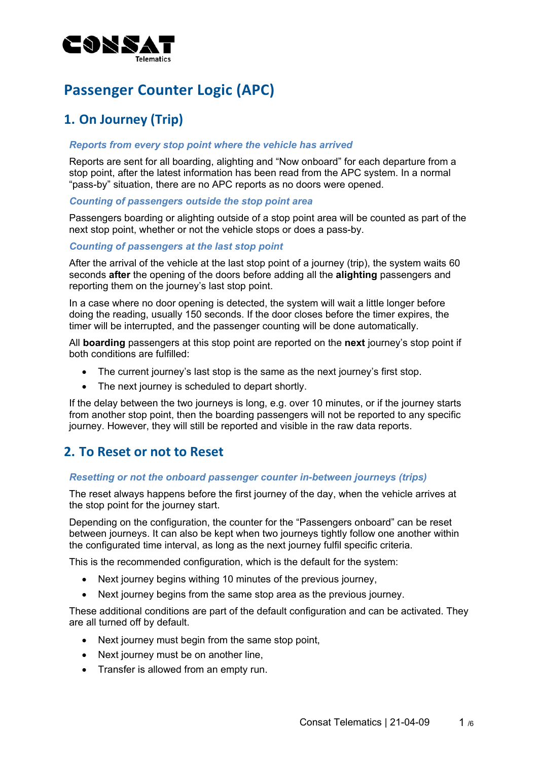

# **Passenger Counter Logic (APC)**

# **1. On Journey (Trip)**

#### *Reports from every stop point where the vehicle has arrived*

Reports are sent for all boarding, alighting and "Now onboard" for each departure from a stop point, after the latest information has been read from the APC system. In a normal "pass-by" situation, there are no APC reports as no doors were opened.

#### *Counting of passengers outside the stop point area*

Passengers boarding or alighting outside of a stop point area will be counted as part of the next stop point, whether or not the vehicle stops or does a pass-by.

#### *Counting of passengers at the last stop point*

After the arrival of the vehicle at the last stop point of a journey (trip), the system waits 60 seconds **after** the opening of the doors before adding all the **alighting** passengers and reporting them on the journey's last stop point.

In a case where no door opening is detected, the system will wait a little longer before doing the reading, usually 150 seconds. If the door closes before the timer expires, the timer will be interrupted, and the passenger counting will be done automatically.

All **boarding** passengers at this stop point are reported on the **next** journey's stop point if both conditions are fulfilled:

- The current journey's last stop is the same as the next journey's first stop.
- The next journey is scheduled to depart shortly.

If the delay between the two journeys is long, e.g. over 10 minutes, or if the journey starts from another stop point, then the boarding passengers will not be reported to any specific journey. However, they will still be reported and visible in the raw data reports.

## **2. To Reset or not to Reset**

#### *Resetting or not the onboard passenger counter in-between journeys (trips)*

The reset always happens before the first journey of the day, when the vehicle arrives at the stop point for the journey start.

Depending on the configuration, the counter for the "Passengers onboard" can be reset between journeys. It can also be kept when two journeys tightly follow one another within the configurated time interval, as long as the next journey fulfil specific criteria.

This is the recommended configuration, which is the default for the system:

- Next journey begins withing 10 minutes of the previous journey,
- Next journey begins from the same stop area as the previous journey.

These additional conditions are part of the default configuration and can be activated. They are all turned off by default.

- Next journey must begin from the same stop point,
- Next journey must be on another line,
- Transfer is allowed from an empty run.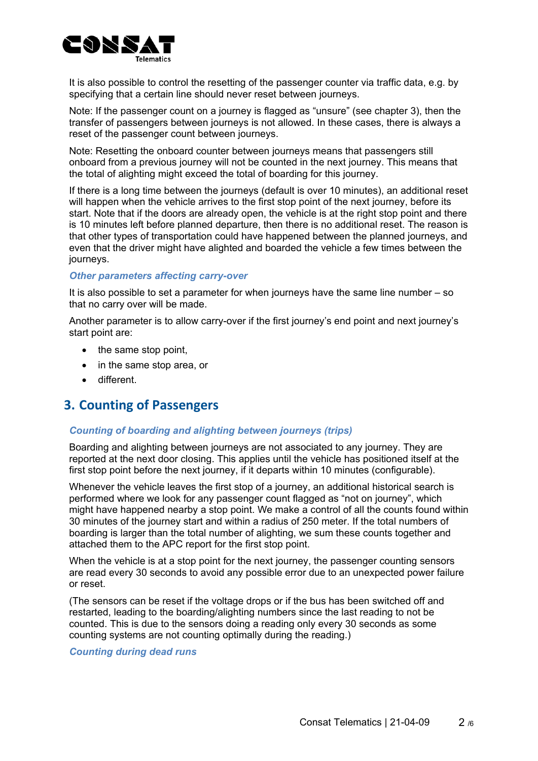

It is also possible to control the resetting of the passenger counter via traffic data, e.g. by specifying that a certain line should never reset between journeys.

Note: If the passenger count on a journey is flagged as "unsure" (see chapter 3), then the transfer of passengers between journeys is not allowed. In these cases, there is always a reset of the passenger count between journeys.

Note: Resetting the onboard counter between journeys means that passengers still onboard from a previous journey will not be counted in the next journey. This means that the total of alighting might exceed the total of boarding for this journey.

If there is a long time between the journeys (default is over 10 minutes), an additional reset will happen when the vehicle arrives to the first stop point of the next journey, before its start. Note that if the doors are already open, the vehicle is at the right stop point and there is 10 minutes left before planned departure, then there is no additional reset. The reason is that other types of transportation could have happened between the planned journeys, and even that the driver might have alighted and boarded the vehicle a few times between the journeys.

#### *Other parameters affecting carry-over*

It is also possible to set a parameter for when journeys have the same line number – so that no carry over will be made.

Another parameter is to allow carry-over if the first journey's end point and next journey's start point are:

- the same stop point,
- in the same stop area, or
- different.

## **3. Counting of Passengers**

#### *Counting of boarding and alighting between journeys (trips)*

Boarding and alighting between journeys are not associated to any journey. They are reported at the next door closing. This applies until the vehicle has positioned itself at the first stop point before the next journey, if it departs within 10 minutes (configurable).

Whenever the vehicle leaves the first stop of a journey, an additional historical search is performed where we look for any passenger count flagged as "not on journey", which might have happened nearby a stop point. We make a control of all the counts found within 30 minutes of the journey start and within a radius of 250 meter. If the total numbers of boarding is larger than the total number of alighting, we sum these counts together and attached them to the APC report for the first stop point.

When the vehicle is at a stop point for the next journey, the passenger counting sensors are read every 30 seconds to avoid any possible error due to an unexpected power failure or reset.

(The sensors can be reset if the voltage drops or if the bus has been switched off and restarted, leading to the boarding/alighting numbers since the last reading to not be counted. This is due to the sensors doing a reading only every 30 seconds as some counting systems are not counting optimally during the reading.)

#### *Counting during dead runs*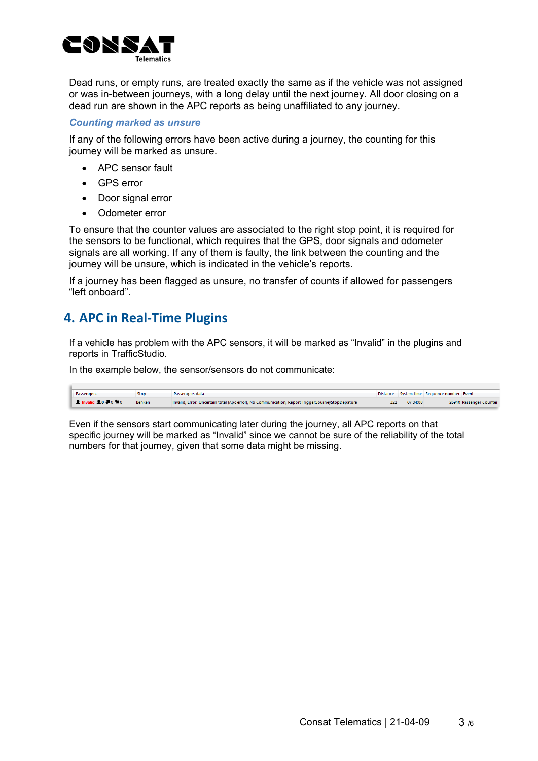

Dead runs, or empty runs, are treated exactly the same as if the vehicle was not assigned or was in-between journeys, with a long delay until the next journey. All door closing on a dead run are shown in the APC reports as being unaffiliated to any journey.

#### *Counting marked as unsure*

If any of the following errors have been active during a journey, the counting for this journey will be marked as unsure.

- APC sensor fault
- GPS error
- Door signal error
- Odometer error

To ensure that the counter values are associated to the right stop point, it is required for the sensors to be functional, which requires that the GPS, door signals and odometer signals are all working. If any of them is faulty, the link between the counting and the journey will be unsure, which is indicated in the vehicle's reports.

If a journey has been flagged as unsure, no transfer of counts if allowed for passengers "left onboard".

## **4. APC in Real-Time Plugins**

If a vehicle has problem with the APC sensors, it will be marked as "Invalid" in the plugins and reports in TrafficStudio.

In the example below, the sensor/sensors do not communicate:

| Passengers                                        | Stop          | Passengers data                                                                                    |          | Distance System time Sequence number Event |                         |
|---------------------------------------------------|---------------|----------------------------------------------------------------------------------------------------|----------|--------------------------------------------|-------------------------|
| <b>A</b> Invalid <b>A</b> 0 <b>A</b> 0 <b>M</b> 0 | <b>Benken</b> | Invalid, Error: Uncertain total (Apc error), No Communication, Report Trigger: JourneyStopDepature | 07:04:08 |                                            | 26910 Passenger Counter |

Even if the sensors start communicating later during the journey, all APC reports on that specific journey will be marked as "Invalid" since we cannot be sure of the reliability of the total numbers for that journey, given that some data might be missing.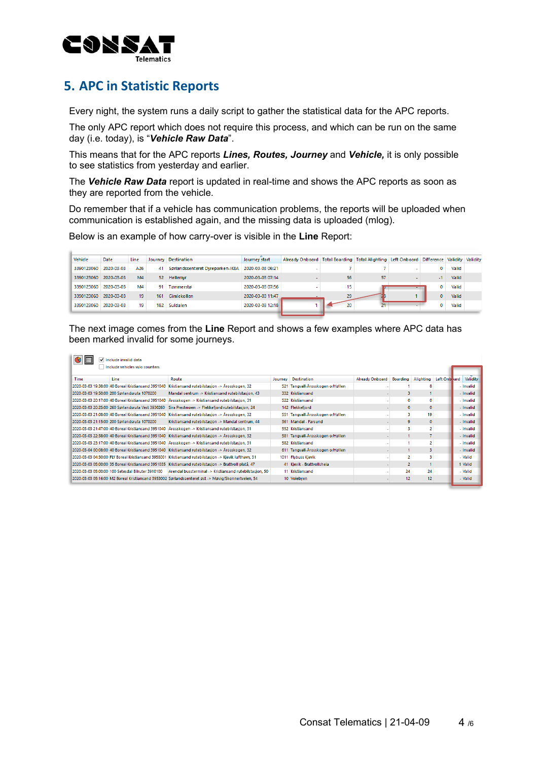

 $\sim$ 

# **5. APC in Statistic Reports**

Every night, the system runs a daily script to gather the statistical data for the APC reports.

The only APC report which does not require this process, and which can be run on the same day (i.e. today), is "*Vehicle Raw Data*".

This means that for the APC reports *Lines, Routes, Journey* and *Vehicle,* it is only possible to see statistics from yesterday and earlier.

The *Vehicle Raw Data* report is updated in real-time and shows the APC reports as soon as they are reported from the vehicle.

Do remember that if a vehicle has communication problems, the reports will be uploaded when communication is established again, and the missing data is uploaded (mlog).

Below is an example of how carry-over is visible in the **Line** Report:

| Vehicle    | Date       | Line           |     | Journey Destination              | Journey start    | Already Onboard Total Boarding Total Alighting Left Onboard Difference Validity Validity |    |    |        |          |       |  |
|------------|------------|----------------|-----|----------------------------------|------------------|------------------------------------------------------------------------------------------|----|----|--------|----------|-------|--|
| 3390123060 | 2020-03-03 | A26            | 41  | Sørlandssenteret Dyreparken-IKEA | 2020-03-03 06:21 |                                                                                          |    |    |        | 0        | Valid |  |
| 3390123060 | 2020-03-03 | M <sub>4</sub> |     | 52 Hellemyr                      | 2020-03-03 07:14 | $\sim$                                                                                   | 56 | 57 | $\sim$ | -1       | Valid |  |
| 3390123060 | 2020-03-03 | M <sub>4</sub> | 91  | Tømmerstø                        | 2020-03-03 07:56 |                                                                                          | 15 |    |        | 0        | Valid |  |
| 3390123060 | 2020-03-03 | 19             | 161 | Gimlekollen                      | 2020-03-03 11:47 |                                                                                          | 29 |    |        | $\Omega$ | Valid |  |
| 3390123060 | 2020-03-03 | 19             | 182 | Suldalen                         | 2020-03-03 12:18 |                                                                                          |    |    |        |          | Valid |  |
|            |            |                |     |                                  |                  |                                                                                          |    |    |        |          |       |  |

The next image comes from the **Line** Report and shows a few examples where APC data has been marked invalid for some journeys.

| $\bigcirc$ $\boxplus$ | Include invalid data                               |                                                                                                        |         |                                  |                          |          |                |              |           |
|-----------------------|----------------------------------------------------|--------------------------------------------------------------------------------------------------------|---------|----------------------------------|--------------------------|----------|----------------|--------------|-----------|
|                       | Include vehicles w/o counters                      |                                                                                                        |         |                                  |                          |          |                |              |           |
| Time                  | Line                                               | Route                                                                                                  | Journey | <b>Destination</b>               | <b>Already Onboard</b>   | Boarding | Alighting      | Left Onb ard | Validity  |
|                       | 2020-03-03 19:38:00 40 Boreal Kristiansand 3951040 | Kristiansand rutebilstasjon -> Årosskogen, 32                                                          |         | 521 Tangvall-Årosskogen o/Høllen |                          |          |                |              | - Invalid |
|                       | 2020-03-03 19:50:00 200 Sørlandsruta 1070200       | Mandal sentrum -> Kristiansand rutebilstasjon, 43                                                      |         | 332 Kristiansand                 |                          | ٩        |                |              | - Invalid |
|                       | 2020-03-03 20:17:00 40 Boreal Kristiansand 3951040 | Årosskogen -> Kristiansand rutebilstasjon, 31                                                          |         | 522 Kristiansand                 | ۰                        | $\Omega$ | $\mathbf{0}$   |              | - Invalid |
|                       | 2020-03-03 20:25:00 260 Sørlandsruta Vest 3930260  | Sira Prestmoen -> Flekkefjord rutebilstasjon, 24                                                       |         | 142 Flekkefjord                  | $\blacksquare$           | $\Omega$ | $\Omega$       |              | - Invalid |
|                       | 2020-03-03 21:08:00 40 Boreal Kristiansand 3951040 | Kristiansand rutebilstasjon -> Årosskogen, 32                                                          |         | 551 Tangvall-Årosskogen o/Høllen |                          |          | 19             |              | - Invalid |
|                       | 2020-03-03 21:15:00 200 Sørlandsruta 1070200       | Kristiansand rutebilstasjon -> Mandal sentrum, 44                                                      |         | 361 Mandal - Farsund             | ٠                        |          | $\Omega$       |              | - Invalid |
|                       | 2020-03-03 21:47:00 40 Boreal Kristiansand 3951040 | Årosskogen -> Kristiansand rutebilstasjon, 31                                                          |         | 552 Kristiansand                 | ٠                        |          | $\overline{2}$ |              | - Invalid |
|                       |                                                    | 2020-03-03 22:38:00 40 Boreal Kristiansand 3951040 Kristiansand rutebilstasjon -> Årosskogen, 32       |         | 581 Tangvall-Årosskogen o/Høllen |                          |          |                |              | - Invalid |
|                       |                                                    | 2020-03-03 23:17:00 40 Boreal Kristiansand 3951040   Årosskogen -> Kristiansand rutebilstasjon, 31     |         | 582 Kristiansand                 | $\overline{\phantom{a}}$ |          | $\overline{2}$ |              | - Invalid |
|                       |                                                    | 2020-03-04 00:08:00 40 Boreal Kristiansand 3951040 Kristiansand rutebilstasjon -> Årosskogen, 32       |         | 611 Tangvall-Årosskogen o/Høllen |                          |          |                |              | - Invalid |
|                       |                                                    | 2020-03-03 04:30:00 FLY Boreal Kristiansand 3958001 Kristiansand rutebilstasjon -> Kjevik lufthavn, 31 | 1011    | <b>Flybuss Kjevik</b>            | $\overline{\phantom{a}}$ |          |                |              | - Valid   |
|                       |                                                    | 2020-03-03 05:00:00 35 Boreal Kristiansand 3951035 Kristiansand rutebilstasjon -> Brattvoll platå, 47  |         | 41 Kievik - Brattvollsheia       |                          |          |                |              | Valid     |
|                       | 2020-03-03 05:00:00 100 Setesdal Bilruter 3910100  | Arendal bussterminal -> Kristiansand rutebilstasjon, 50                                                |         | 11 Kristiansand                  | ٠                        | 24       | 24             |              | - Valid   |
|                       |                                                    | 2020-03-03 05:16:00 M2 Boreal Kristiansand 3953002 Sørlandssenteret øst -> Møvig/Skonnertveien, 54     |         | 10 Voiebyen                      | ۰                        | 12       | 12             |              | - Valid   |
|                       |                                                    |                                                                                                        |         |                                  |                          |          |                |              |           |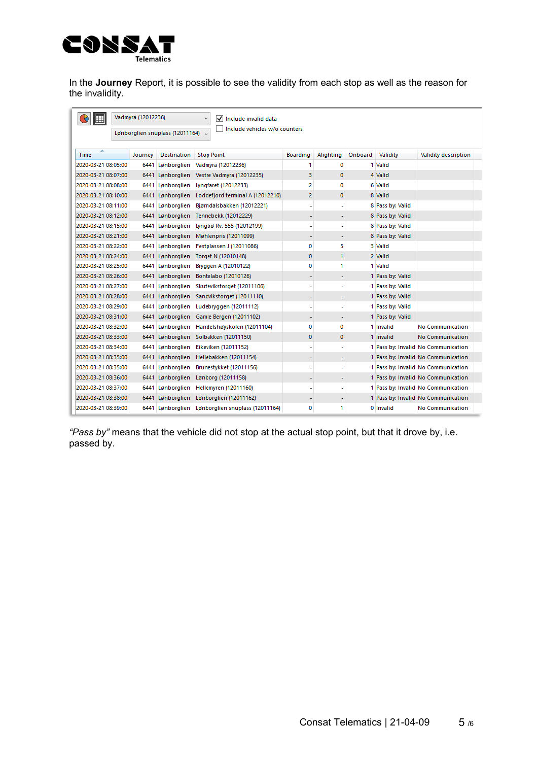

In the **Journey** Report, it is possible to see the validity from each stop as well as the reason for the invalidity.

| 僵                   | Vadmyra (12012236) |                                 | √ Include invalid data<br>$\omega$ |          |             |         |                  |                                     |
|---------------------|--------------------|---------------------------------|------------------------------------|----------|-------------|---------|------------------|-------------------------------------|
|                     |                    | Lønborglien snuplass (12011164) | Include vehicles w/o counters      |          |             |         |                  |                                     |
| Time                | Journey            | Destination                     | <b>Stop Point</b>                  | Boarding | Alighting   | Onboard | Validity         | Validity description                |
| 2020-03-21 08:05:00 |                    | 6441 Lønborglien                | Vadmyra (12012236)                 | 1        | 0           |         | 1 Valid          |                                     |
| 2020-03-21 08:07:00 |                    | 6441 Lønborglien                | Vestre Vadmyra (12012235)          | з        | $\mathbf 0$ |         | 4 Valid          |                                     |
| 2020-03-21 08:08:00 |                    | 6441 Lønborglien                | Lyngfaret (12012233)               | 2        | 0           |         | 6 Valid          |                                     |
| 2020-03-21 08:10:00 |                    | 6441 Lønborglien                | Loddefjord terminal A (12012210)   | 2        | 0           |         | 8 Valid          |                                     |
| 2020-03-21 08:11:00 |                    | 6441 Lønborglien                | Biørndalsbakken (12012221)         | ۰        | ۰           |         | 8 Pass by: Valid |                                     |
| 2020-03-21 08:12:00 |                    | 6441 Lønborglien                | Tennebekk (12012229)               | ٠        | ÷           |         | 8 Pass by: Valid |                                     |
| 2020-03-21 08:15:00 |                    | 6441 Lønborglien                | Lyngbø Rv. 555 (12012199)          | ٠        | ٠           |         | 8 Pass by: Valid |                                     |
| 2020-03-21 08:21:00 |                    | 6441 Lønborglien                | Møhlenpris (12011099)              |          | ٠           |         | 8 Pass by: Valid |                                     |
| 2020-03-21 08:22:00 |                    | 6441 Lønborglien                | Festplassen J (12011086)           | 0        | 5           |         | 3 Valid          |                                     |
| 2020-03-21 08:24:00 |                    | 6441 Lønborglien                | Torget N (12010148)                | 0        | 1           |         | 2 Valid          |                                     |
| 2020-03-21 08:25:00 |                    | 6441 Lønborglien                | Bryggen A (12010122)               | 0        | 1           |         | 1 Valid          |                                     |
| 2020-03-21 08:26:00 |                    | 6441 Lønborglien                | Bontelabo (12010126)               |          | ٠           |         | 1 Pass by: Valid |                                     |
| 2020-03-21 08:27:00 |                    | 6441 Lønborglien                | Skutevikstorget (12011106)         |          | ٠           |         | 1 Pass by: Valid |                                     |
| 2020-03-21 08:28:00 |                    | 6441 Lønborglien                | Sandvikstorget (12011110)          | ۰        | ٠           |         | 1 Pass by: Valid |                                     |
| 2020-03-21 08:29:00 |                    | 6441 Lønborglien                | Ludebryggen (12011112)             |          | ۰           |         | 1 Pass by: Valid |                                     |
| 2020-03-21 08:31:00 |                    | 6441 Lønborglien                | Gamle Bergen (12011102)            |          | ٠           |         | 1 Pass by: Valid |                                     |
| 2020-03-21 08:32:00 |                    | 6441 Lønborglien                | Handelshøyskolen (12011104)        | 0        | 0           |         | 1 Invalid        | <b>No Communication</b>             |
| 2020-03-21 08:33:00 |                    | 6441 Lønborglien                | Solbakken (12011150)               | 0        | 0           |         | 1 Invalid        | <b>No Communication</b>             |
| 2020-03-21 08:34:00 |                    | 6441 Lønborglien                | Eikeviken (12011152)               |          | ۰           |         |                  | 1 Pass by: Invalid No Communication |
| 2020-03-21 08:35:00 |                    | 6441 Lønborglien                | Hellebakken (12011154)             | ۰        | ٠           |         |                  | 1 Pass by: Invalid No Communication |
| 2020-03-21 08:35:00 |                    | 6441 Lønborglien                | Brunestykket (12011156)            |          | ۰           |         |                  | 1 Pass by: Invalid No Communication |
| 2020-03-21 08:36:00 |                    | 6441 Lønborglien                | Lønborg (12011158)                 |          | ÷           |         |                  | 1 Pass by: Invalid No Communication |
| 2020-03-21 08:37:00 |                    | 6441 Lønborglien                | Hellemyren (12011160)              | ٠        | ٠           |         |                  | 1 Pass by: Invalid No Communication |
| 2020-03-21 08:38:00 |                    | 6441 Lønborglien                | Lønborglien (12011162)             |          |             |         |                  | 1 Pass by: Invalid No Communication |
| 2020-03-21 08:39:00 |                    | 6441 Lønborglien                | Lønborglien snuplass (12011164)    | 0        | 1           |         | 0 Invalid        | No Communication                    |

*"Pass by"* means that the vehicle did not stop at the actual stop point, but that it drove by, i.e. passed by.